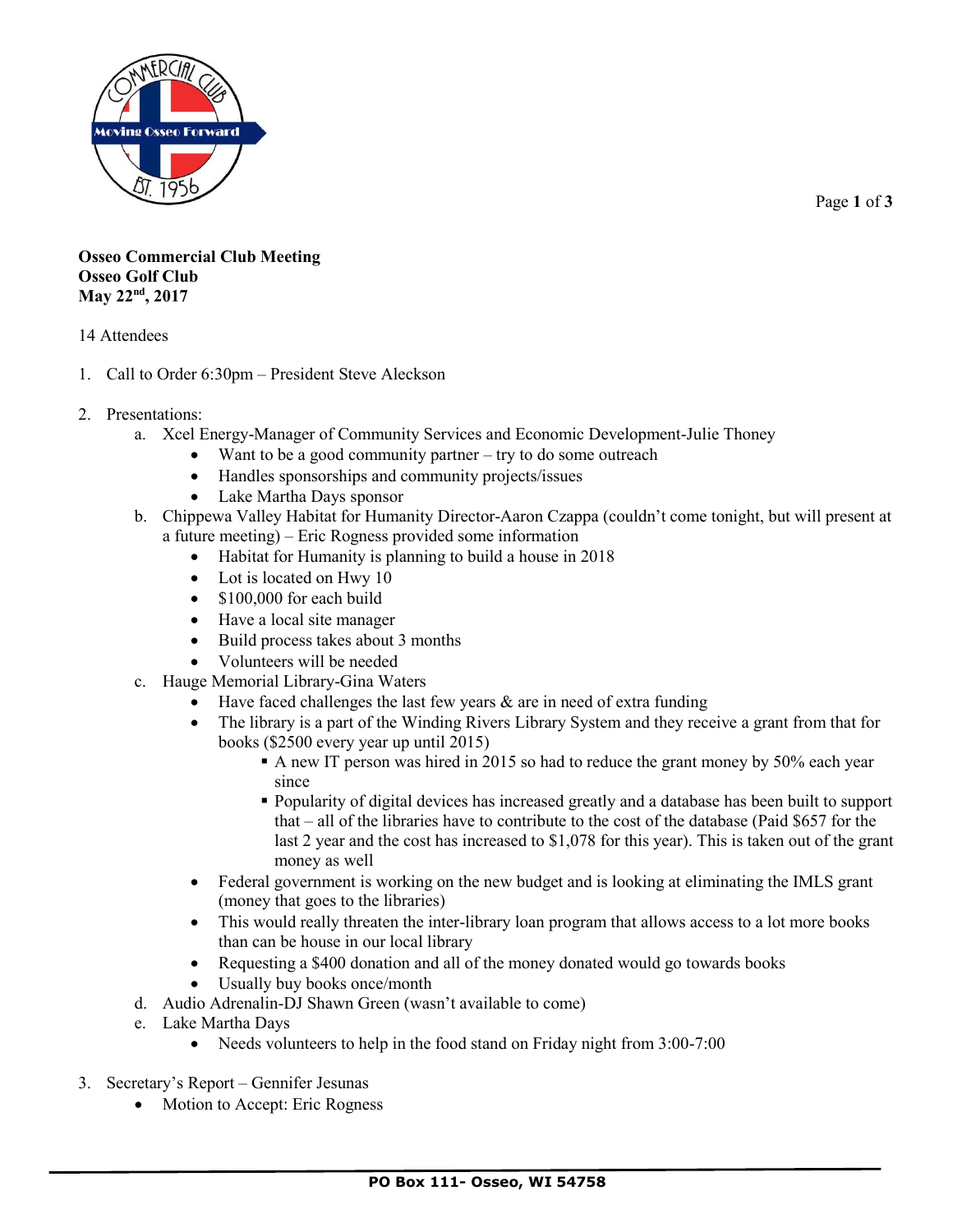

Page **1** of **3**

## **Osseo Commercial Club Meeting Osseo Golf Club May 22nd, 2017**

## 14 Attendees

- 1. Call to Order 6:30pm President Steve Aleckson
- 2. Presentations:
	- a. Xcel Energy-Manager of Community Services and Economic Development-Julie Thoney
		- Want to be a good community partner try to do some outreach
		- Handles sponsorships and community projects/issues
		- Lake Martha Days sponsor
	- b. Chippewa Valley Habitat for Humanity Director-Aaron Czappa (couldn't come tonight, but will present at a future meeting) – Eric Rogness provided some information
		- Habitat for Humanity is planning to build a house in 2018
		- Lot is located on Hwy 10
		- \$100,000 for each build
		- Have a local site manager
		- Build process takes about 3 months
		- Volunteers will be needed
	- c. Hauge Memorial Library-Gina Waters
		- Have faced challenges the last few years  $\&$  are in need of extra funding
		- The library is a part of the Winding Rivers Library System and they receive a grant from that for books (\$2500 every year up until 2015)
			- A new IT person was hired in 2015 so had to reduce the grant money by 50% each year since
			- Popularity of digital devices has increased greatly and a database has been built to support that – all of the libraries have to contribute to the cost of the database (Paid \$657 for the last 2 year and the cost has increased to \$1,078 for this year). This is taken out of the grant money as well
		- Federal government is working on the new budget and is looking at eliminating the IMLS grant (money that goes to the libraries)
		- This would really threaten the inter-library loan program that allows access to a lot more books than can be house in our local library
		- Requesting a \$400 donation and all of the money donated would go towards books
		- Usually buy books once/month
	- d. Audio Adrenalin-DJ Shawn Green (wasn't available to come)
	- e. Lake Martha Days
		- Needs volunteers to help in the food stand on Friday night from 3:00-7:00
- 3. Secretary's Report Gennifer Jesunas
	- Motion to Accept: Eric Rogness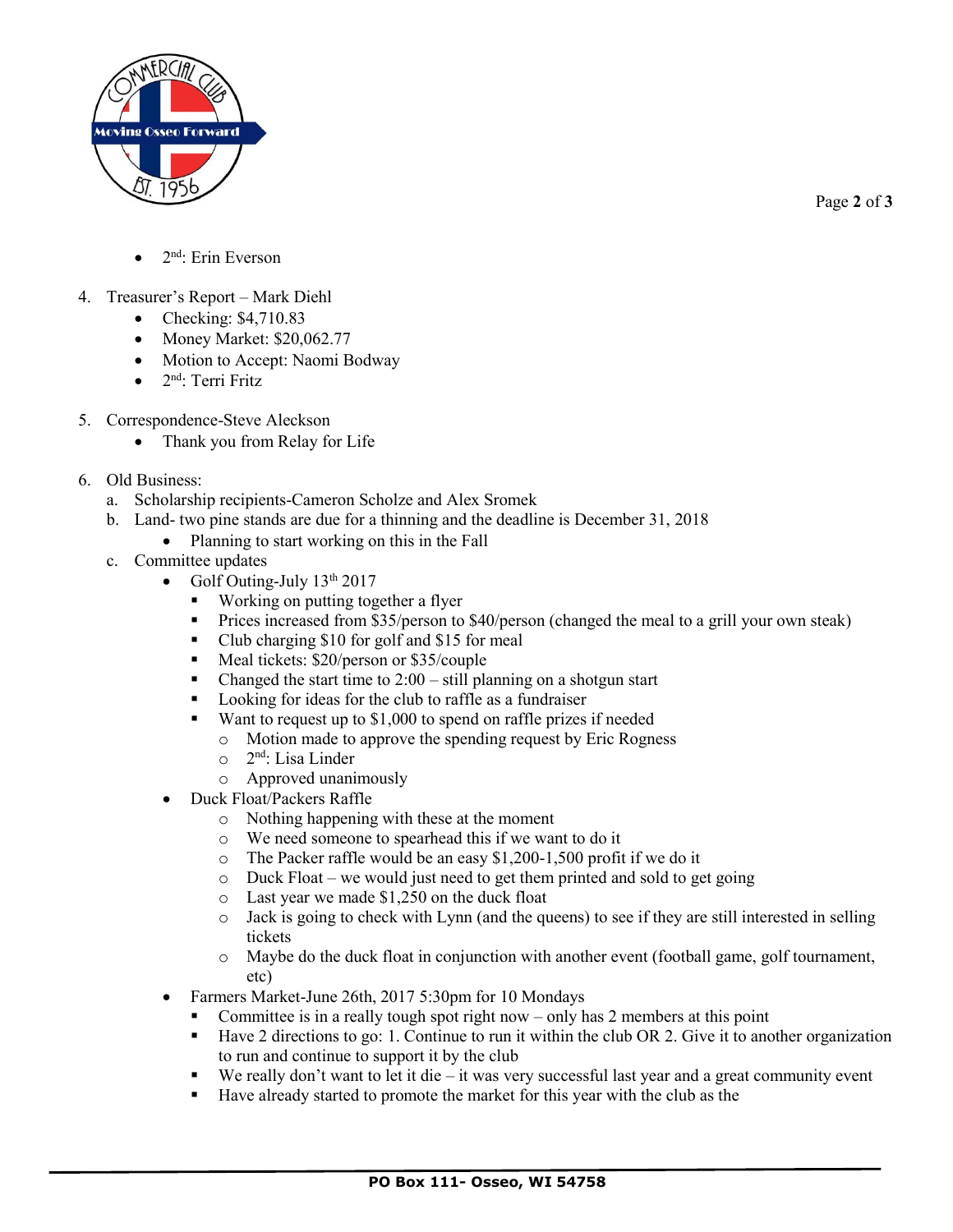

Page **2** of **3**

- $\bullet$  2<sup>nd</sup>: Erin Everson
- 4. Treasurer's Report Mark Diehl
	- Checking: \$4,710.83
	- Money Market: \$20,062.77
	- Motion to Accept: Naomi Bodway
	- 2<sup>nd</sup>: Terri Fritz
- 5. Correspondence-Steve Aleckson
	- Thank you from Relay for Life
- 6. Old Business:
	- a. Scholarship recipients-Cameron Scholze and Alex Sromek
	- b. Land- two pine stands are due for a thinning and the deadline is December 31, 2018
		- Planning to start working on this in the Fall
	- c. Committee updates
		- Golf Outing-July  $13<sup>th</sup> 2017$ 
			- Working on putting together a flyer
			- Prices increased from \$35/person to \$40/person (changed the meal to a grill your own steak)
			- Club charging \$10 for golf and \$15 for meal
			- Meal tickets: \$20/person or \$35/couple
			- Changed the start time to  $2:00 \text{still planning on a shotgun start}$
			- Looking for ideas for the club to raffle as a fundraiser
			- Want to request up to \$1,000 to spend on raffle prizes if needed
				- o Motion made to approve the spending request by Eric Rogness
				- o 2 nd: Lisa Linder
				- o Approved unanimously
		- Duck Float/Packers Raffle
			- o Nothing happening with these at the moment
			- o We need someone to spearhead this if we want to do it
			- o The Packer raffle would be an easy \$1,200-1,500 profit if we do it
			- o Duck Float we would just need to get them printed and sold to get going
			- o Last year we made \$1,250 on the duck float
			- $\circ$  Jack is going to check with Lynn (and the queens) to see if they are still interested in selling tickets
			- o Maybe do the duck float in conjunction with another event (football game, golf tournament, etc)
		- Farmers Market-June 26th, 2017 5:30pm for 10 Mondays
			- Committee is in a really tough spot right now only has  $2$  members at this point
			- Have 2 directions to go: 1. Continue to run it within the club OR 2. Give it to another organization to run and continue to support it by the club
			- $\bullet$  We really don't want to let it die it was very successful last year and a great community event
			- Have already started to promote the market for this year with the club as the